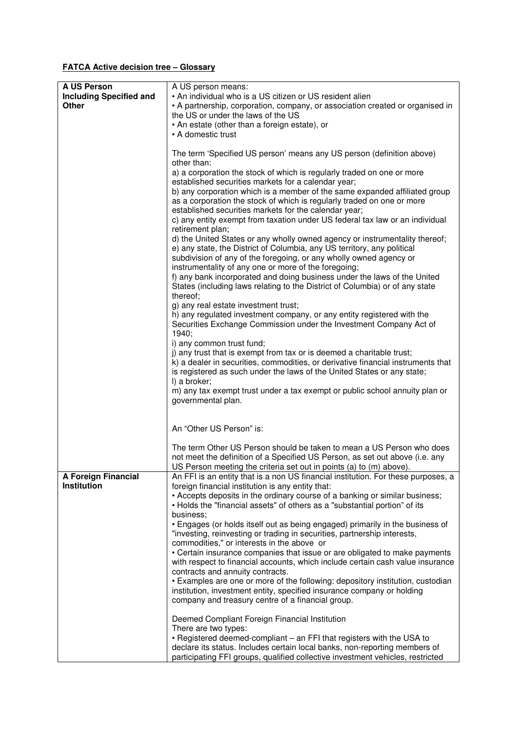## **FATCA Active decision tree – Glossary**

| • An individual who is a US citizen or US resident alien<br><b>Including Specified and</b><br><b>Other</b><br>• A partnership, corporation, company, or association created or organised in<br>the US or under the laws of the US<br>• An estate (other than a foreign estate), or<br>• A domestic trust<br>The term 'Specified US person' means any US person (definition above)<br>other than:<br>a) a corporation the stock of which is regularly traded on one or more<br>established securities markets for a calendar year;<br>b) any corporation which is a member of the same expanded affiliated group<br>as a corporation the stock of which is regularly traded on one or more<br>established securities markets for the calendar year;<br>c) any entity exempt from taxation under US federal tax law or an individual<br>retirement plan;<br>d) the United States or any wholly owned agency or instrumentality thereof;<br>e) any state, the District of Columbia, any US territory, any political<br>subdivision of any of the foregoing, or any wholly owned agency or<br>instrumentality of any one or more of the foregoing;<br>f) any bank incorporated and doing business under the laws of the United<br>States (including laws relating to the District of Columbia) or of any state<br>thereof;<br>g) any real estate investment trust;<br>h) any regulated investment company, or any entity registered with the<br>Securities Exchange Commission under the Investment Company Act of<br>1940;<br>i) any common trust fund;<br>j) any trust that is exempt from tax or is deemed a charitable trust;<br>k) a dealer in securities, commodities, or derivative financial instruments that<br>is registered as such under the laws of the United States or any state;<br>I) a broker;<br>m) any tax exempt trust under a tax exempt or public school annuity plan or<br>governmental plan.<br>An "Other US Person" is:<br>The term Other US Person should be taken to mean a US Person who does<br>not meet the definition of a Specified US Person, as set out above (i.e. any<br>US Person meeting the criteria set out in points (a) to (m) above).<br><b>A Foreign Financial</b><br>An FFI is an entity that is a non US financial institution. For these purposes, a<br>Institution<br>foreign financial institution is any entity that:<br>• Accepts deposits in the ordinary course of a banking or similar business;<br>• Holds the "financial assets" of others as a "substantial portion" of its<br>business;<br>• Engages (or holds itself out as being engaged) primarily in the business of<br>"investing, reinvesting or trading in securities, partnership interests,<br>commodities," or interests in the above or<br>• Certain insurance companies that issue or are obligated to make payments<br>with respect to financial accounts, which include certain cash value insurance<br>contracts and annuity contracts.<br>• Examples are one or more of the following: depository institution, custodian<br>institution, investment entity, specified insurance company or holding<br>company and treasury centre of a financial group. |             |                                                |
|--------------------------------------------------------------------------------------------------------------------------------------------------------------------------------------------------------------------------------------------------------------------------------------------------------------------------------------------------------------------------------------------------------------------------------------------------------------------------------------------------------------------------------------------------------------------------------------------------------------------------------------------------------------------------------------------------------------------------------------------------------------------------------------------------------------------------------------------------------------------------------------------------------------------------------------------------------------------------------------------------------------------------------------------------------------------------------------------------------------------------------------------------------------------------------------------------------------------------------------------------------------------------------------------------------------------------------------------------------------------------------------------------------------------------------------------------------------------------------------------------------------------------------------------------------------------------------------------------------------------------------------------------------------------------------------------------------------------------------------------------------------------------------------------------------------------------------------------------------------------------------------------------------------------------------------------------------------------------------------------------------------------------------------------------------------------------------------------------------------------------------------------------------------------------------------------------------------------------------------------------------------------------------------------------------------------------------------------------------------------------------------------------------------------------------------------------------------------------------------------------------------------------------------------------------------------------------------------------------------------------------------------------------------------------------------------------------------------------------------------------------------------------------------------------------------------------------------------------------------------------------------------------------------------------------------------------------------------------------------------------------------------------------------------------------------------------------------------------------------------------------------------------------------------------------|-------------|------------------------------------------------|
|                                                                                                                                                                                                                                                                                                                                                                                                                                                                                                                                                                                                                                                                                                                                                                                                                                                                                                                                                                                                                                                                                                                                                                                                                                                                                                                                                                                                                                                                                                                                                                                                                                                                                                                                                                                                                                                                                                                                                                                                                                                                                                                                                                                                                                                                                                                                                                                                                                                                                                                                                                                                                                                                                                                                                                                                                                                                                                                                                                                                                                                                                                                                                                                | A US Person | A US person means:                             |
|                                                                                                                                                                                                                                                                                                                                                                                                                                                                                                                                                                                                                                                                                                                                                                                                                                                                                                                                                                                                                                                                                                                                                                                                                                                                                                                                                                                                                                                                                                                                                                                                                                                                                                                                                                                                                                                                                                                                                                                                                                                                                                                                                                                                                                                                                                                                                                                                                                                                                                                                                                                                                                                                                                                                                                                                                                                                                                                                                                                                                                                                                                                                                                                |             |                                                |
|                                                                                                                                                                                                                                                                                                                                                                                                                                                                                                                                                                                                                                                                                                                                                                                                                                                                                                                                                                                                                                                                                                                                                                                                                                                                                                                                                                                                                                                                                                                                                                                                                                                                                                                                                                                                                                                                                                                                                                                                                                                                                                                                                                                                                                                                                                                                                                                                                                                                                                                                                                                                                                                                                                                                                                                                                                                                                                                                                                                                                                                                                                                                                                                |             |                                                |
|                                                                                                                                                                                                                                                                                                                                                                                                                                                                                                                                                                                                                                                                                                                                                                                                                                                                                                                                                                                                                                                                                                                                                                                                                                                                                                                                                                                                                                                                                                                                                                                                                                                                                                                                                                                                                                                                                                                                                                                                                                                                                                                                                                                                                                                                                                                                                                                                                                                                                                                                                                                                                                                                                                                                                                                                                                                                                                                                                                                                                                                                                                                                                                                |             |                                                |
|                                                                                                                                                                                                                                                                                                                                                                                                                                                                                                                                                                                                                                                                                                                                                                                                                                                                                                                                                                                                                                                                                                                                                                                                                                                                                                                                                                                                                                                                                                                                                                                                                                                                                                                                                                                                                                                                                                                                                                                                                                                                                                                                                                                                                                                                                                                                                                                                                                                                                                                                                                                                                                                                                                                                                                                                                                                                                                                                                                                                                                                                                                                                                                                |             |                                                |
|                                                                                                                                                                                                                                                                                                                                                                                                                                                                                                                                                                                                                                                                                                                                                                                                                                                                                                                                                                                                                                                                                                                                                                                                                                                                                                                                                                                                                                                                                                                                                                                                                                                                                                                                                                                                                                                                                                                                                                                                                                                                                                                                                                                                                                                                                                                                                                                                                                                                                                                                                                                                                                                                                                                                                                                                                                                                                                                                                                                                                                                                                                                                                                                |             |                                                |
|                                                                                                                                                                                                                                                                                                                                                                                                                                                                                                                                                                                                                                                                                                                                                                                                                                                                                                                                                                                                                                                                                                                                                                                                                                                                                                                                                                                                                                                                                                                                                                                                                                                                                                                                                                                                                                                                                                                                                                                                                                                                                                                                                                                                                                                                                                                                                                                                                                                                                                                                                                                                                                                                                                                                                                                                                                                                                                                                                                                                                                                                                                                                                                                |             |                                                |
|                                                                                                                                                                                                                                                                                                                                                                                                                                                                                                                                                                                                                                                                                                                                                                                                                                                                                                                                                                                                                                                                                                                                                                                                                                                                                                                                                                                                                                                                                                                                                                                                                                                                                                                                                                                                                                                                                                                                                                                                                                                                                                                                                                                                                                                                                                                                                                                                                                                                                                                                                                                                                                                                                                                                                                                                                                                                                                                                                                                                                                                                                                                                                                                |             |                                                |
|                                                                                                                                                                                                                                                                                                                                                                                                                                                                                                                                                                                                                                                                                                                                                                                                                                                                                                                                                                                                                                                                                                                                                                                                                                                                                                                                                                                                                                                                                                                                                                                                                                                                                                                                                                                                                                                                                                                                                                                                                                                                                                                                                                                                                                                                                                                                                                                                                                                                                                                                                                                                                                                                                                                                                                                                                                                                                                                                                                                                                                                                                                                                                                                |             |                                                |
|                                                                                                                                                                                                                                                                                                                                                                                                                                                                                                                                                                                                                                                                                                                                                                                                                                                                                                                                                                                                                                                                                                                                                                                                                                                                                                                                                                                                                                                                                                                                                                                                                                                                                                                                                                                                                                                                                                                                                                                                                                                                                                                                                                                                                                                                                                                                                                                                                                                                                                                                                                                                                                                                                                                                                                                                                                                                                                                                                                                                                                                                                                                                                                                |             |                                                |
|                                                                                                                                                                                                                                                                                                                                                                                                                                                                                                                                                                                                                                                                                                                                                                                                                                                                                                                                                                                                                                                                                                                                                                                                                                                                                                                                                                                                                                                                                                                                                                                                                                                                                                                                                                                                                                                                                                                                                                                                                                                                                                                                                                                                                                                                                                                                                                                                                                                                                                                                                                                                                                                                                                                                                                                                                                                                                                                                                                                                                                                                                                                                                                                |             |                                                |
|                                                                                                                                                                                                                                                                                                                                                                                                                                                                                                                                                                                                                                                                                                                                                                                                                                                                                                                                                                                                                                                                                                                                                                                                                                                                                                                                                                                                                                                                                                                                                                                                                                                                                                                                                                                                                                                                                                                                                                                                                                                                                                                                                                                                                                                                                                                                                                                                                                                                                                                                                                                                                                                                                                                                                                                                                                                                                                                                                                                                                                                                                                                                                                                |             |                                                |
|                                                                                                                                                                                                                                                                                                                                                                                                                                                                                                                                                                                                                                                                                                                                                                                                                                                                                                                                                                                                                                                                                                                                                                                                                                                                                                                                                                                                                                                                                                                                                                                                                                                                                                                                                                                                                                                                                                                                                                                                                                                                                                                                                                                                                                                                                                                                                                                                                                                                                                                                                                                                                                                                                                                                                                                                                                                                                                                                                                                                                                                                                                                                                                                |             |                                                |
|                                                                                                                                                                                                                                                                                                                                                                                                                                                                                                                                                                                                                                                                                                                                                                                                                                                                                                                                                                                                                                                                                                                                                                                                                                                                                                                                                                                                                                                                                                                                                                                                                                                                                                                                                                                                                                                                                                                                                                                                                                                                                                                                                                                                                                                                                                                                                                                                                                                                                                                                                                                                                                                                                                                                                                                                                                                                                                                                                                                                                                                                                                                                                                                |             |                                                |
|                                                                                                                                                                                                                                                                                                                                                                                                                                                                                                                                                                                                                                                                                                                                                                                                                                                                                                                                                                                                                                                                                                                                                                                                                                                                                                                                                                                                                                                                                                                                                                                                                                                                                                                                                                                                                                                                                                                                                                                                                                                                                                                                                                                                                                                                                                                                                                                                                                                                                                                                                                                                                                                                                                                                                                                                                                                                                                                                                                                                                                                                                                                                                                                |             |                                                |
|                                                                                                                                                                                                                                                                                                                                                                                                                                                                                                                                                                                                                                                                                                                                                                                                                                                                                                                                                                                                                                                                                                                                                                                                                                                                                                                                                                                                                                                                                                                                                                                                                                                                                                                                                                                                                                                                                                                                                                                                                                                                                                                                                                                                                                                                                                                                                                                                                                                                                                                                                                                                                                                                                                                                                                                                                                                                                                                                                                                                                                                                                                                                                                                |             |                                                |
|                                                                                                                                                                                                                                                                                                                                                                                                                                                                                                                                                                                                                                                                                                                                                                                                                                                                                                                                                                                                                                                                                                                                                                                                                                                                                                                                                                                                                                                                                                                                                                                                                                                                                                                                                                                                                                                                                                                                                                                                                                                                                                                                                                                                                                                                                                                                                                                                                                                                                                                                                                                                                                                                                                                                                                                                                                                                                                                                                                                                                                                                                                                                                                                |             |                                                |
|                                                                                                                                                                                                                                                                                                                                                                                                                                                                                                                                                                                                                                                                                                                                                                                                                                                                                                                                                                                                                                                                                                                                                                                                                                                                                                                                                                                                                                                                                                                                                                                                                                                                                                                                                                                                                                                                                                                                                                                                                                                                                                                                                                                                                                                                                                                                                                                                                                                                                                                                                                                                                                                                                                                                                                                                                                                                                                                                                                                                                                                                                                                                                                                |             |                                                |
|                                                                                                                                                                                                                                                                                                                                                                                                                                                                                                                                                                                                                                                                                                                                                                                                                                                                                                                                                                                                                                                                                                                                                                                                                                                                                                                                                                                                                                                                                                                                                                                                                                                                                                                                                                                                                                                                                                                                                                                                                                                                                                                                                                                                                                                                                                                                                                                                                                                                                                                                                                                                                                                                                                                                                                                                                                                                                                                                                                                                                                                                                                                                                                                |             |                                                |
|                                                                                                                                                                                                                                                                                                                                                                                                                                                                                                                                                                                                                                                                                                                                                                                                                                                                                                                                                                                                                                                                                                                                                                                                                                                                                                                                                                                                                                                                                                                                                                                                                                                                                                                                                                                                                                                                                                                                                                                                                                                                                                                                                                                                                                                                                                                                                                                                                                                                                                                                                                                                                                                                                                                                                                                                                                                                                                                                                                                                                                                                                                                                                                                |             |                                                |
|                                                                                                                                                                                                                                                                                                                                                                                                                                                                                                                                                                                                                                                                                                                                                                                                                                                                                                                                                                                                                                                                                                                                                                                                                                                                                                                                                                                                                                                                                                                                                                                                                                                                                                                                                                                                                                                                                                                                                                                                                                                                                                                                                                                                                                                                                                                                                                                                                                                                                                                                                                                                                                                                                                                                                                                                                                                                                                                                                                                                                                                                                                                                                                                |             |                                                |
|                                                                                                                                                                                                                                                                                                                                                                                                                                                                                                                                                                                                                                                                                                                                                                                                                                                                                                                                                                                                                                                                                                                                                                                                                                                                                                                                                                                                                                                                                                                                                                                                                                                                                                                                                                                                                                                                                                                                                                                                                                                                                                                                                                                                                                                                                                                                                                                                                                                                                                                                                                                                                                                                                                                                                                                                                                                                                                                                                                                                                                                                                                                                                                                |             |                                                |
|                                                                                                                                                                                                                                                                                                                                                                                                                                                                                                                                                                                                                                                                                                                                                                                                                                                                                                                                                                                                                                                                                                                                                                                                                                                                                                                                                                                                                                                                                                                                                                                                                                                                                                                                                                                                                                                                                                                                                                                                                                                                                                                                                                                                                                                                                                                                                                                                                                                                                                                                                                                                                                                                                                                                                                                                                                                                                                                                                                                                                                                                                                                                                                                |             |                                                |
|                                                                                                                                                                                                                                                                                                                                                                                                                                                                                                                                                                                                                                                                                                                                                                                                                                                                                                                                                                                                                                                                                                                                                                                                                                                                                                                                                                                                                                                                                                                                                                                                                                                                                                                                                                                                                                                                                                                                                                                                                                                                                                                                                                                                                                                                                                                                                                                                                                                                                                                                                                                                                                                                                                                                                                                                                                                                                                                                                                                                                                                                                                                                                                                |             |                                                |
|                                                                                                                                                                                                                                                                                                                                                                                                                                                                                                                                                                                                                                                                                                                                                                                                                                                                                                                                                                                                                                                                                                                                                                                                                                                                                                                                                                                                                                                                                                                                                                                                                                                                                                                                                                                                                                                                                                                                                                                                                                                                                                                                                                                                                                                                                                                                                                                                                                                                                                                                                                                                                                                                                                                                                                                                                                                                                                                                                                                                                                                                                                                                                                                |             |                                                |
|                                                                                                                                                                                                                                                                                                                                                                                                                                                                                                                                                                                                                                                                                                                                                                                                                                                                                                                                                                                                                                                                                                                                                                                                                                                                                                                                                                                                                                                                                                                                                                                                                                                                                                                                                                                                                                                                                                                                                                                                                                                                                                                                                                                                                                                                                                                                                                                                                                                                                                                                                                                                                                                                                                                                                                                                                                                                                                                                                                                                                                                                                                                                                                                |             |                                                |
|                                                                                                                                                                                                                                                                                                                                                                                                                                                                                                                                                                                                                                                                                                                                                                                                                                                                                                                                                                                                                                                                                                                                                                                                                                                                                                                                                                                                                                                                                                                                                                                                                                                                                                                                                                                                                                                                                                                                                                                                                                                                                                                                                                                                                                                                                                                                                                                                                                                                                                                                                                                                                                                                                                                                                                                                                                                                                                                                                                                                                                                                                                                                                                                |             |                                                |
|                                                                                                                                                                                                                                                                                                                                                                                                                                                                                                                                                                                                                                                                                                                                                                                                                                                                                                                                                                                                                                                                                                                                                                                                                                                                                                                                                                                                                                                                                                                                                                                                                                                                                                                                                                                                                                                                                                                                                                                                                                                                                                                                                                                                                                                                                                                                                                                                                                                                                                                                                                                                                                                                                                                                                                                                                                                                                                                                                                                                                                                                                                                                                                                |             |                                                |
|                                                                                                                                                                                                                                                                                                                                                                                                                                                                                                                                                                                                                                                                                                                                                                                                                                                                                                                                                                                                                                                                                                                                                                                                                                                                                                                                                                                                                                                                                                                                                                                                                                                                                                                                                                                                                                                                                                                                                                                                                                                                                                                                                                                                                                                                                                                                                                                                                                                                                                                                                                                                                                                                                                                                                                                                                                                                                                                                                                                                                                                                                                                                                                                |             |                                                |
|                                                                                                                                                                                                                                                                                                                                                                                                                                                                                                                                                                                                                                                                                                                                                                                                                                                                                                                                                                                                                                                                                                                                                                                                                                                                                                                                                                                                                                                                                                                                                                                                                                                                                                                                                                                                                                                                                                                                                                                                                                                                                                                                                                                                                                                                                                                                                                                                                                                                                                                                                                                                                                                                                                                                                                                                                                                                                                                                                                                                                                                                                                                                                                                |             |                                                |
|                                                                                                                                                                                                                                                                                                                                                                                                                                                                                                                                                                                                                                                                                                                                                                                                                                                                                                                                                                                                                                                                                                                                                                                                                                                                                                                                                                                                                                                                                                                                                                                                                                                                                                                                                                                                                                                                                                                                                                                                                                                                                                                                                                                                                                                                                                                                                                                                                                                                                                                                                                                                                                                                                                                                                                                                                                                                                                                                                                                                                                                                                                                                                                                |             |                                                |
|                                                                                                                                                                                                                                                                                                                                                                                                                                                                                                                                                                                                                                                                                                                                                                                                                                                                                                                                                                                                                                                                                                                                                                                                                                                                                                                                                                                                                                                                                                                                                                                                                                                                                                                                                                                                                                                                                                                                                                                                                                                                                                                                                                                                                                                                                                                                                                                                                                                                                                                                                                                                                                                                                                                                                                                                                                                                                                                                                                                                                                                                                                                                                                                |             |                                                |
|                                                                                                                                                                                                                                                                                                                                                                                                                                                                                                                                                                                                                                                                                                                                                                                                                                                                                                                                                                                                                                                                                                                                                                                                                                                                                                                                                                                                                                                                                                                                                                                                                                                                                                                                                                                                                                                                                                                                                                                                                                                                                                                                                                                                                                                                                                                                                                                                                                                                                                                                                                                                                                                                                                                                                                                                                                                                                                                                                                                                                                                                                                                                                                                |             |                                                |
|                                                                                                                                                                                                                                                                                                                                                                                                                                                                                                                                                                                                                                                                                                                                                                                                                                                                                                                                                                                                                                                                                                                                                                                                                                                                                                                                                                                                                                                                                                                                                                                                                                                                                                                                                                                                                                                                                                                                                                                                                                                                                                                                                                                                                                                                                                                                                                                                                                                                                                                                                                                                                                                                                                                                                                                                                                                                                                                                                                                                                                                                                                                                                                                |             |                                                |
|                                                                                                                                                                                                                                                                                                                                                                                                                                                                                                                                                                                                                                                                                                                                                                                                                                                                                                                                                                                                                                                                                                                                                                                                                                                                                                                                                                                                                                                                                                                                                                                                                                                                                                                                                                                                                                                                                                                                                                                                                                                                                                                                                                                                                                                                                                                                                                                                                                                                                                                                                                                                                                                                                                                                                                                                                                                                                                                                                                                                                                                                                                                                                                                |             |                                                |
|                                                                                                                                                                                                                                                                                                                                                                                                                                                                                                                                                                                                                                                                                                                                                                                                                                                                                                                                                                                                                                                                                                                                                                                                                                                                                                                                                                                                                                                                                                                                                                                                                                                                                                                                                                                                                                                                                                                                                                                                                                                                                                                                                                                                                                                                                                                                                                                                                                                                                                                                                                                                                                                                                                                                                                                                                                                                                                                                                                                                                                                                                                                                                                                |             |                                                |
|                                                                                                                                                                                                                                                                                                                                                                                                                                                                                                                                                                                                                                                                                                                                                                                                                                                                                                                                                                                                                                                                                                                                                                                                                                                                                                                                                                                                                                                                                                                                                                                                                                                                                                                                                                                                                                                                                                                                                                                                                                                                                                                                                                                                                                                                                                                                                                                                                                                                                                                                                                                                                                                                                                                                                                                                                                                                                                                                                                                                                                                                                                                                                                                |             |                                                |
|                                                                                                                                                                                                                                                                                                                                                                                                                                                                                                                                                                                                                                                                                                                                                                                                                                                                                                                                                                                                                                                                                                                                                                                                                                                                                                                                                                                                                                                                                                                                                                                                                                                                                                                                                                                                                                                                                                                                                                                                                                                                                                                                                                                                                                                                                                                                                                                                                                                                                                                                                                                                                                                                                                                                                                                                                                                                                                                                                                                                                                                                                                                                                                                |             |                                                |
|                                                                                                                                                                                                                                                                                                                                                                                                                                                                                                                                                                                                                                                                                                                                                                                                                                                                                                                                                                                                                                                                                                                                                                                                                                                                                                                                                                                                                                                                                                                                                                                                                                                                                                                                                                                                                                                                                                                                                                                                                                                                                                                                                                                                                                                                                                                                                                                                                                                                                                                                                                                                                                                                                                                                                                                                                                                                                                                                                                                                                                                                                                                                                                                |             |                                                |
|                                                                                                                                                                                                                                                                                                                                                                                                                                                                                                                                                                                                                                                                                                                                                                                                                                                                                                                                                                                                                                                                                                                                                                                                                                                                                                                                                                                                                                                                                                                                                                                                                                                                                                                                                                                                                                                                                                                                                                                                                                                                                                                                                                                                                                                                                                                                                                                                                                                                                                                                                                                                                                                                                                                                                                                                                                                                                                                                                                                                                                                                                                                                                                                |             |                                                |
|                                                                                                                                                                                                                                                                                                                                                                                                                                                                                                                                                                                                                                                                                                                                                                                                                                                                                                                                                                                                                                                                                                                                                                                                                                                                                                                                                                                                                                                                                                                                                                                                                                                                                                                                                                                                                                                                                                                                                                                                                                                                                                                                                                                                                                                                                                                                                                                                                                                                                                                                                                                                                                                                                                                                                                                                                                                                                                                                                                                                                                                                                                                                                                                |             |                                                |
|                                                                                                                                                                                                                                                                                                                                                                                                                                                                                                                                                                                                                                                                                                                                                                                                                                                                                                                                                                                                                                                                                                                                                                                                                                                                                                                                                                                                                                                                                                                                                                                                                                                                                                                                                                                                                                                                                                                                                                                                                                                                                                                                                                                                                                                                                                                                                                                                                                                                                                                                                                                                                                                                                                                                                                                                                                                                                                                                                                                                                                                                                                                                                                                |             |                                                |
|                                                                                                                                                                                                                                                                                                                                                                                                                                                                                                                                                                                                                                                                                                                                                                                                                                                                                                                                                                                                                                                                                                                                                                                                                                                                                                                                                                                                                                                                                                                                                                                                                                                                                                                                                                                                                                                                                                                                                                                                                                                                                                                                                                                                                                                                                                                                                                                                                                                                                                                                                                                                                                                                                                                                                                                                                                                                                                                                                                                                                                                                                                                                                                                |             |                                                |
|                                                                                                                                                                                                                                                                                                                                                                                                                                                                                                                                                                                                                                                                                                                                                                                                                                                                                                                                                                                                                                                                                                                                                                                                                                                                                                                                                                                                                                                                                                                                                                                                                                                                                                                                                                                                                                                                                                                                                                                                                                                                                                                                                                                                                                                                                                                                                                                                                                                                                                                                                                                                                                                                                                                                                                                                                                                                                                                                                                                                                                                                                                                                                                                |             |                                                |
|                                                                                                                                                                                                                                                                                                                                                                                                                                                                                                                                                                                                                                                                                                                                                                                                                                                                                                                                                                                                                                                                                                                                                                                                                                                                                                                                                                                                                                                                                                                                                                                                                                                                                                                                                                                                                                                                                                                                                                                                                                                                                                                                                                                                                                                                                                                                                                                                                                                                                                                                                                                                                                                                                                                                                                                                                                                                                                                                                                                                                                                                                                                                                                                |             |                                                |
|                                                                                                                                                                                                                                                                                                                                                                                                                                                                                                                                                                                                                                                                                                                                                                                                                                                                                                                                                                                                                                                                                                                                                                                                                                                                                                                                                                                                                                                                                                                                                                                                                                                                                                                                                                                                                                                                                                                                                                                                                                                                                                                                                                                                                                                                                                                                                                                                                                                                                                                                                                                                                                                                                                                                                                                                                                                                                                                                                                                                                                                                                                                                                                                |             |                                                |
|                                                                                                                                                                                                                                                                                                                                                                                                                                                                                                                                                                                                                                                                                                                                                                                                                                                                                                                                                                                                                                                                                                                                                                                                                                                                                                                                                                                                                                                                                                                                                                                                                                                                                                                                                                                                                                                                                                                                                                                                                                                                                                                                                                                                                                                                                                                                                                                                                                                                                                                                                                                                                                                                                                                                                                                                                                                                                                                                                                                                                                                                                                                                                                                |             |                                                |
|                                                                                                                                                                                                                                                                                                                                                                                                                                                                                                                                                                                                                                                                                                                                                                                                                                                                                                                                                                                                                                                                                                                                                                                                                                                                                                                                                                                                                                                                                                                                                                                                                                                                                                                                                                                                                                                                                                                                                                                                                                                                                                                                                                                                                                                                                                                                                                                                                                                                                                                                                                                                                                                                                                                                                                                                                                                                                                                                                                                                                                                                                                                                                                                |             |                                                |
|                                                                                                                                                                                                                                                                                                                                                                                                                                                                                                                                                                                                                                                                                                                                                                                                                                                                                                                                                                                                                                                                                                                                                                                                                                                                                                                                                                                                                                                                                                                                                                                                                                                                                                                                                                                                                                                                                                                                                                                                                                                                                                                                                                                                                                                                                                                                                                                                                                                                                                                                                                                                                                                                                                                                                                                                                                                                                                                                                                                                                                                                                                                                                                                |             |                                                |
|                                                                                                                                                                                                                                                                                                                                                                                                                                                                                                                                                                                                                                                                                                                                                                                                                                                                                                                                                                                                                                                                                                                                                                                                                                                                                                                                                                                                                                                                                                                                                                                                                                                                                                                                                                                                                                                                                                                                                                                                                                                                                                                                                                                                                                                                                                                                                                                                                                                                                                                                                                                                                                                                                                                                                                                                                                                                                                                                                                                                                                                                                                                                                                                |             |                                                |
|                                                                                                                                                                                                                                                                                                                                                                                                                                                                                                                                                                                                                                                                                                                                                                                                                                                                                                                                                                                                                                                                                                                                                                                                                                                                                                                                                                                                                                                                                                                                                                                                                                                                                                                                                                                                                                                                                                                                                                                                                                                                                                                                                                                                                                                                                                                                                                                                                                                                                                                                                                                                                                                                                                                                                                                                                                                                                                                                                                                                                                                                                                                                                                                |             |                                                |
|                                                                                                                                                                                                                                                                                                                                                                                                                                                                                                                                                                                                                                                                                                                                                                                                                                                                                                                                                                                                                                                                                                                                                                                                                                                                                                                                                                                                                                                                                                                                                                                                                                                                                                                                                                                                                                                                                                                                                                                                                                                                                                                                                                                                                                                                                                                                                                                                                                                                                                                                                                                                                                                                                                                                                                                                                                                                                                                                                                                                                                                                                                                                                                                |             |                                                |
|                                                                                                                                                                                                                                                                                                                                                                                                                                                                                                                                                                                                                                                                                                                                                                                                                                                                                                                                                                                                                                                                                                                                                                                                                                                                                                                                                                                                                                                                                                                                                                                                                                                                                                                                                                                                                                                                                                                                                                                                                                                                                                                                                                                                                                                                                                                                                                                                                                                                                                                                                                                                                                                                                                                                                                                                                                                                                                                                                                                                                                                                                                                                                                                |             |                                                |
|                                                                                                                                                                                                                                                                                                                                                                                                                                                                                                                                                                                                                                                                                                                                                                                                                                                                                                                                                                                                                                                                                                                                                                                                                                                                                                                                                                                                                                                                                                                                                                                                                                                                                                                                                                                                                                                                                                                                                                                                                                                                                                                                                                                                                                                                                                                                                                                                                                                                                                                                                                                                                                                                                                                                                                                                                                                                                                                                                                                                                                                                                                                                                                                |             |                                                |
|                                                                                                                                                                                                                                                                                                                                                                                                                                                                                                                                                                                                                                                                                                                                                                                                                                                                                                                                                                                                                                                                                                                                                                                                                                                                                                                                                                                                                                                                                                                                                                                                                                                                                                                                                                                                                                                                                                                                                                                                                                                                                                                                                                                                                                                                                                                                                                                                                                                                                                                                                                                                                                                                                                                                                                                                                                                                                                                                                                                                                                                                                                                                                                                |             |                                                |
|                                                                                                                                                                                                                                                                                                                                                                                                                                                                                                                                                                                                                                                                                                                                                                                                                                                                                                                                                                                                                                                                                                                                                                                                                                                                                                                                                                                                                                                                                                                                                                                                                                                                                                                                                                                                                                                                                                                                                                                                                                                                                                                                                                                                                                                                                                                                                                                                                                                                                                                                                                                                                                                                                                                                                                                                                                                                                                                                                                                                                                                                                                                                                                                |             |                                                |
|                                                                                                                                                                                                                                                                                                                                                                                                                                                                                                                                                                                                                                                                                                                                                                                                                                                                                                                                                                                                                                                                                                                                                                                                                                                                                                                                                                                                                                                                                                                                                                                                                                                                                                                                                                                                                                                                                                                                                                                                                                                                                                                                                                                                                                                                                                                                                                                                                                                                                                                                                                                                                                                                                                                                                                                                                                                                                                                                                                                                                                                                                                                                                                                |             |                                                |
|                                                                                                                                                                                                                                                                                                                                                                                                                                                                                                                                                                                                                                                                                                                                                                                                                                                                                                                                                                                                                                                                                                                                                                                                                                                                                                                                                                                                                                                                                                                                                                                                                                                                                                                                                                                                                                                                                                                                                                                                                                                                                                                                                                                                                                                                                                                                                                                                                                                                                                                                                                                                                                                                                                                                                                                                                                                                                                                                                                                                                                                                                                                                                                                |             | Deemed Compliant Foreign Financial Institution |
| There are two types:                                                                                                                                                                                                                                                                                                                                                                                                                                                                                                                                                                                                                                                                                                                                                                                                                                                                                                                                                                                                                                                                                                                                                                                                                                                                                                                                                                                                                                                                                                                                                                                                                                                                                                                                                                                                                                                                                                                                                                                                                                                                                                                                                                                                                                                                                                                                                                                                                                                                                                                                                                                                                                                                                                                                                                                                                                                                                                                                                                                                                                                                                                                                                           |             |                                                |
| • Registered deemed-compliant – an FFI that registers with the USA to                                                                                                                                                                                                                                                                                                                                                                                                                                                                                                                                                                                                                                                                                                                                                                                                                                                                                                                                                                                                                                                                                                                                                                                                                                                                                                                                                                                                                                                                                                                                                                                                                                                                                                                                                                                                                                                                                                                                                                                                                                                                                                                                                                                                                                                                                                                                                                                                                                                                                                                                                                                                                                                                                                                                                                                                                                                                                                                                                                                                                                                                                                          |             |                                                |
| declare its status. Includes certain local banks, non-reporting members of                                                                                                                                                                                                                                                                                                                                                                                                                                                                                                                                                                                                                                                                                                                                                                                                                                                                                                                                                                                                                                                                                                                                                                                                                                                                                                                                                                                                                                                                                                                                                                                                                                                                                                                                                                                                                                                                                                                                                                                                                                                                                                                                                                                                                                                                                                                                                                                                                                                                                                                                                                                                                                                                                                                                                                                                                                                                                                                                                                                                                                                                                                     |             |                                                |
| participating FFI groups, qualified collective investment vehicles, restricted                                                                                                                                                                                                                                                                                                                                                                                                                                                                                                                                                                                                                                                                                                                                                                                                                                                                                                                                                                                                                                                                                                                                                                                                                                                                                                                                                                                                                                                                                                                                                                                                                                                                                                                                                                                                                                                                                                                                                                                                                                                                                                                                                                                                                                                                                                                                                                                                                                                                                                                                                                                                                                                                                                                                                                                                                                                                                                                                                                                                                                                                                                 |             |                                                |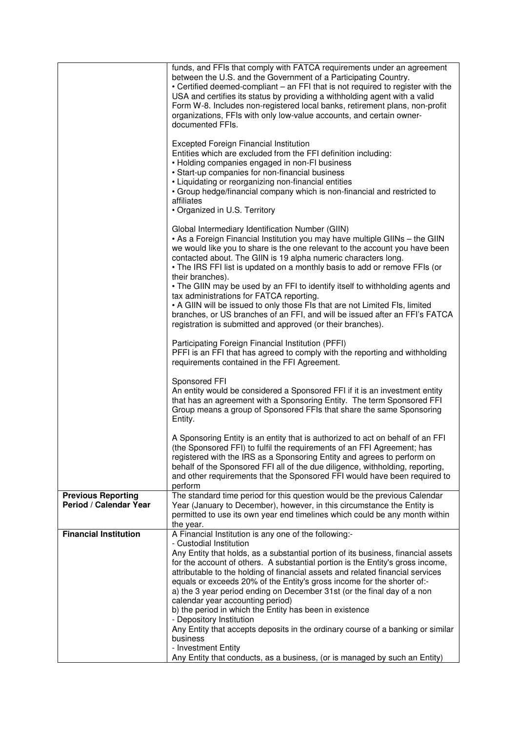|                                                     | funds, and FFIs that comply with FATCA requirements under an agreement<br>between the U.S. and the Government of a Participating Country.<br>• Certified deemed-compliant – an FFI that is not required to register with the<br>USA and certifies its status by providing a withholding agent with a valid<br>Form W-8. Includes non-registered local banks, retirement plans, non-profit<br>organizations, FFIs with only low-value accounts, and certain owner-<br>documented FFIs.                           |
|-----------------------------------------------------|-----------------------------------------------------------------------------------------------------------------------------------------------------------------------------------------------------------------------------------------------------------------------------------------------------------------------------------------------------------------------------------------------------------------------------------------------------------------------------------------------------------------|
|                                                     | <b>Excepted Foreign Financial Institution</b><br>Entities which are excluded from the FFI definition including:<br>• Holding companies engaged in non-FI business<br>• Start-up companies for non-financial business<br>• Liquidating or reorganizing non-financial entities<br>• Group hedge/financial company which is non-financial and restricted to<br>affiliates<br>• Organized in U.S. Territory                                                                                                         |
|                                                     | Global Intermediary Identification Number (GIIN)<br>. As a Foreign Financial Institution you may have multiple GIINs - the GIIN<br>we would like you to share is the one relevant to the account you have been<br>contacted about. The GIIN is 19 alpha numeric characters long.<br>• The IRS FFI list is updated on a monthly basis to add or remove FFIs (or<br>their branches).<br>• The GIIN may be used by an FFI to identify itself to withholding agents and<br>tax administrations for FATCA reporting. |
|                                                     | • A GIIN will be issued to only those FIs that are not Limited FIs, limited<br>branches, or US branches of an FFI, and will be issued after an FFI's FATCA<br>registration is submitted and approved (or their branches).                                                                                                                                                                                                                                                                                       |
|                                                     | Participating Foreign Financial Institution (PFFI)<br>PFFI is an FFI that has agreed to comply with the reporting and withholding<br>requirements contained in the FFI Agreement.                                                                                                                                                                                                                                                                                                                               |
|                                                     | Sponsored FFI<br>An entity would be considered a Sponsored FFI if it is an investment entity<br>that has an agreement with a Sponsoring Entity. The term Sponsored FFI<br>Group means a group of Sponsored FFIs that share the same Sponsoring<br>Entity.                                                                                                                                                                                                                                                       |
|                                                     | A Sponsoring Entity is an entity that is authorized to act on behalf of an FFI<br>(the Sponsored FFI) to fulfil the requirements of an FFI Agreement; has<br>registered with the IRS as a Sponsoring Entity and agrees to perform on<br>behalf of the Sponsored FFI all of the due diligence, withholding, reporting,<br>and other requirements that the Sponsored FFI would have been required to<br>perform                                                                                                   |
| <b>Previous Reporting</b><br>Period / Calendar Year | The standard time period for this question would be the previous Calendar<br>Year (January to December), however, in this circumstance the Entity is<br>permitted to use its own year end timelines which could be any month within<br>the year.                                                                                                                                                                                                                                                                |
| <b>Financial Institution</b>                        | A Financial Institution is any one of the following:-<br>- Custodial Institution<br>Any Entity that holds, as a substantial portion of its business, financial assets<br>for the account of others. A substantial portion is the Entity's gross income,                                                                                                                                                                                                                                                         |
|                                                     | attributable to the holding of financial assets and related financial services<br>equals or exceeds 20% of the Entity's gross income for the shorter of:-<br>a) the 3 year period ending on December 31st (or the final day of a non<br>calendar year accounting period)                                                                                                                                                                                                                                        |
|                                                     | b) the period in which the Entity has been in existence<br>- Depository Institution<br>Any Entity that accepts deposits in the ordinary course of a banking or similar<br>business                                                                                                                                                                                                                                                                                                                              |
|                                                     | - Investment Entity<br>Any Entity that conducts, as a business, (or is managed by such an Entity)                                                                                                                                                                                                                                                                                                                                                                                                               |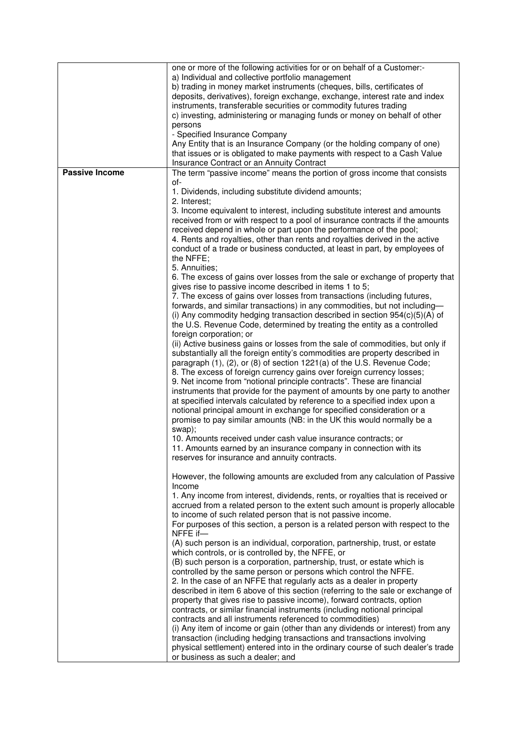|                       | one or more of the following activities for or on behalf of a Customer:-<br>a) Individual and collective portfolio management                    |
|-----------------------|--------------------------------------------------------------------------------------------------------------------------------------------------|
|                       | b) trading in money market instruments (cheques, bills, certificates of                                                                          |
|                       | deposits, derivatives), foreign exchange, exchange, interest rate and index                                                                      |
|                       | instruments, transferable securities or commodity futures trading                                                                                |
|                       | c) investing, administering or managing funds or money on behalf of other                                                                        |
|                       | persons                                                                                                                                          |
|                       | - Specified Insurance Company<br>Any Entity that is an Insurance Company (or the holding company of one)                                         |
|                       | that issues or is obligated to make payments with respect to a Cash Value                                                                        |
|                       | Insurance Contract or an Annuity Contract                                                                                                        |
| <b>Passive Income</b> | The term "passive income" means the portion of gross income that consists                                                                        |
|                       | of-                                                                                                                                              |
|                       | 1. Dividends, including substitute dividend amounts;<br>2. Interest;                                                                             |
|                       | 3. Income equivalent to interest, including substitute interest and amounts                                                                      |
|                       | received from or with respect to a pool of insurance contracts if the amounts                                                                    |
|                       | received depend in whole or part upon the performance of the pool;                                                                               |
|                       | 4. Rents and royalties, other than rents and royalties derived in the active                                                                     |
|                       | conduct of a trade or business conducted, at least in part, by employees of                                                                      |
|                       | the NFFE;<br>5. Annuities;                                                                                                                       |
|                       | 6. The excess of gains over losses from the sale or exchange of property that                                                                    |
|                       | gives rise to passive income described in items 1 to 5;                                                                                          |
|                       | 7. The excess of gains over losses from transactions (including futures,                                                                         |
|                       | forwards, and similar transactions) in any commodities, but not including-                                                                       |
|                       | (i) Any commodity hedging transaction described in section $954(c)(5)(A)$ of                                                                     |
|                       | the U.S. Revenue Code, determined by treating the entity as a controlled                                                                         |
|                       | foreign corporation; or<br>(ii) Active business gains or losses from the sale of commodities, but only if                                        |
|                       | substantially all the foreign entity's commodities are property described in                                                                     |
|                       | paragraph (1), (2), or (8) of section 1221(a) of the U.S. Revenue Code;                                                                          |
|                       | 8. The excess of foreign currency gains over foreign currency losses;                                                                            |
|                       | 9. Net income from "notional principle contracts". These are financial                                                                           |
|                       | instruments that provide for the payment of amounts by one party to another                                                                      |
|                       | at specified intervals calculated by reference to a specified index upon a                                                                       |
|                       | notional principal amount in exchange for specified consideration or a<br>promise to pay similar amounts (NB: in the UK this would normally be a |
|                       | swap);                                                                                                                                           |
|                       | 10. Amounts received under cash value insurance contracts; or                                                                                    |
|                       | 11. Amounts earned by an insurance company in connection with its                                                                                |
|                       | reserves for insurance and annuity contracts.                                                                                                    |
|                       |                                                                                                                                                  |
|                       | However, the following amounts are excluded from any calculation of Passive<br>Income                                                            |
|                       | 1. Any income from interest, dividends, rents, or royalties that is received or                                                                  |
|                       | accrued from a related person to the extent such amount is properly allocable                                                                    |
|                       | to income of such related person that is not passive income.                                                                                     |
|                       | For purposes of this section, a person is a related person with respect to the<br>NFFE if-                                                       |
|                       | (A) such person is an individual, corporation, partnership, trust, or estate                                                                     |
|                       | which controls, or is controlled by, the NFFE, or                                                                                                |
|                       | (B) such person is a corporation, partnership, trust, or estate which is                                                                         |
|                       | controlled by the same person or persons which control the NFFE.<br>2. In the case of an NFFE that regularly acts as a dealer in property        |
|                       | described in item 6 above of this section (referring to the sale or exchange of                                                                  |
|                       | property that gives rise to passive income), forward contracts, option                                                                           |
|                       | contracts, or similar financial instruments (including notional principal                                                                        |
|                       | contracts and all instruments referenced to commodities)                                                                                         |
|                       | (i) Any item of income or gain (other than any dividends or interest) from any                                                                   |
|                       | transaction (including hedging transactions and transactions involving                                                                           |
|                       | physical settlement) entered into in the ordinary course of such dealer's trade                                                                  |
|                       | or business as such a dealer; and                                                                                                                |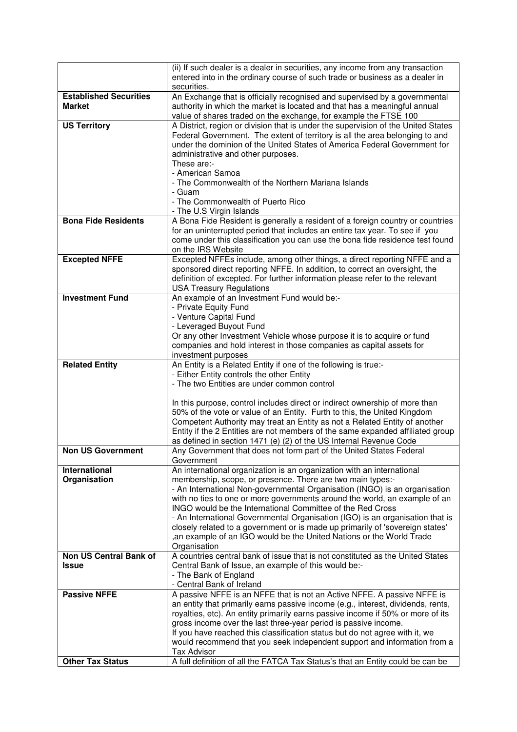|                                                | (ii) If such dealer is a dealer in securities, any income from any transaction<br>entered into in the ordinary course of such trade or business as a dealer in<br>securities.                                                                                                                                                                                                                                                                                                                                                                                                                                             |
|------------------------------------------------|---------------------------------------------------------------------------------------------------------------------------------------------------------------------------------------------------------------------------------------------------------------------------------------------------------------------------------------------------------------------------------------------------------------------------------------------------------------------------------------------------------------------------------------------------------------------------------------------------------------------------|
| <b>Established Securities</b><br><b>Market</b> | An Exchange that is officially recognised and supervised by a governmental<br>authority in which the market is located and that has a meaningful annual<br>value of shares traded on the exchange, for example the FTSE 100                                                                                                                                                                                                                                                                                                                                                                                               |
| <b>US Territory</b>                            | A District, region or division that is under the supervision of the United States<br>Federal Government. The extent of territory is all the area belonging to and<br>under the dominion of the United States of America Federal Government for<br>administrative and other purposes.<br>These are:-<br>- American Samoa                                                                                                                                                                                                                                                                                                   |
|                                                | - The Commonwealth of the Northern Mariana Islands<br>- Guam<br>- The Commonwealth of Puerto Rico<br>- The U.S Virgin Islands                                                                                                                                                                                                                                                                                                                                                                                                                                                                                             |
| <b>Bona Fide Residents</b>                     | A Bona Fide Resident is generally a resident of a foreign country or countries<br>for an uninterrupted period that includes an entire tax year. To see if you<br>come under this classification you can use the bona fide residence test found<br>on the IRS Website                                                                                                                                                                                                                                                                                                                                                      |
| <b>Excepted NFFE</b>                           | Excepted NFFEs include, among other things, a direct reporting NFFE and a<br>sponsored direct reporting NFFE. In addition, to correct an oversight, the<br>definition of excepted. For further information please refer to the relevant<br><b>USA Treasury Regulations</b>                                                                                                                                                                                                                                                                                                                                                |
| <b>Investment Fund</b>                         | An example of an Investment Fund would be:-<br>- Private Equity Fund<br>- Venture Capital Fund<br>- Leveraged Buyout Fund<br>Or any other Investment Vehicle whose purpose it is to acquire or fund<br>companies and hold interest in those companies as capital assets for<br>investment purposes                                                                                                                                                                                                                                                                                                                        |
| <b>Related Entity</b>                          | An Entity is a Related Entity if one of the following is true:-<br>- Either Entity controls the other Entity<br>- The two Entities are under common control<br>In this purpose, control includes direct or indirect ownership of more than                                                                                                                                                                                                                                                                                                                                                                                |
|                                                | 50% of the vote or value of an Entity. Furth to this, the United Kingdom<br>Competent Authority may treat an Entity as not a Related Entity of another<br>Entity if the 2 Entities are not members of the same expanded affiliated group<br>as defined in section 1471 (e) (2) of the US Internal Revenue Code                                                                                                                                                                                                                                                                                                            |
| <b>Non US Government</b>                       | Any Government that does not form part of the United States Federal<br>Government                                                                                                                                                                                                                                                                                                                                                                                                                                                                                                                                         |
| International<br>Organisation                  | An international organization is an organization with an international<br>membership, scope, or presence. There are two main types:-<br>- An International Non-governmental Organisation (INGO) is an organisation<br>with no ties to one or more governments around the world, an example of an<br>INGO would be the International Committee of the Red Cross<br>- An International Governmental Organisation (IGO) is an organisation that is<br>closely related to a government or is made up primarily of 'sovereign states'<br>, an example of an IGO would be the United Nations or the World Trade<br>Organisation |
| Non US Central Bank of<br><b>Issue</b>         | A countries central bank of issue that is not constituted as the United States<br>Central Bank of Issue, an example of this would be:-                                                                                                                                                                                                                                                                                                                                                                                                                                                                                    |
|                                                | - The Bank of England<br>- Central Bank of Ireland                                                                                                                                                                                                                                                                                                                                                                                                                                                                                                                                                                        |
| <b>Passive NFFE</b>                            | A passive NFFE is an NFFE that is not an Active NFFE. A passive NFFE is<br>an entity that primarily earns passive income (e.g., interest, dividends, rents,<br>royalties, etc). An entity primarily earns passive income if 50% or more of its<br>gross income over the last three-year period is passive income.<br>If you have reached this classification status but do not agree with it, we<br>would recommend that you seek independent support and information from a<br><b>Tax Advisor</b>                                                                                                                        |
| <b>Other Tax Status</b>                        | A full definition of all the FATCA Tax Status's that an Entity could be can be                                                                                                                                                                                                                                                                                                                                                                                                                                                                                                                                            |